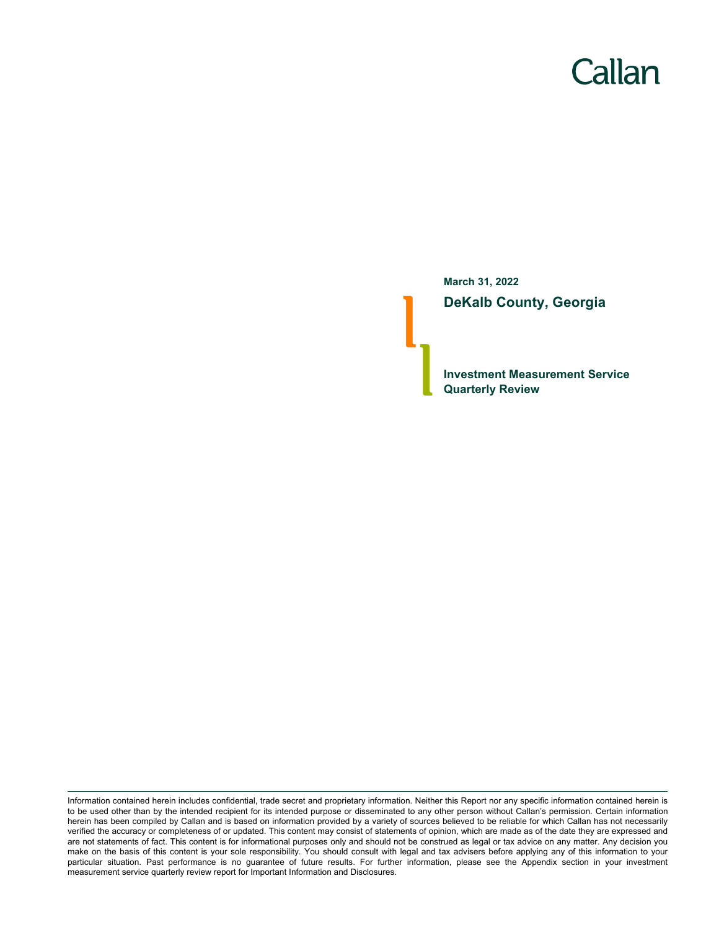# Callan

**March 31, 2022 DeKalb County, Georgia**

**Investment Measurement Service Quarterly Review**

Information contained herein includes confidential, trade secret and proprietary information. Neither this Report nor any specific information contained herein is to be used other than by the intended recipient for its intended purpose or disseminated to any other person without Callan's permission. Certain information herein has been compiled by Callan and is based on information provided by a variety of sources believed to be reliable for which Callan has not necessarily verified the accuracy or completeness of or updated. This content may consist of statements of opinion, which are made as of the date they are expressed and are not statements of fact. This content is for informational purposes only and should not be construed as legal or tax advice on any matter. Any decision you make on the basis of this content is your sole responsibility. You should consult with legal and tax advisers before applying any of this information to your particular situation. Past performance is no guarantee of future results. For further information, please see the Appendix section in your investment measurement service quarterly review report for Important Information and Disclosures.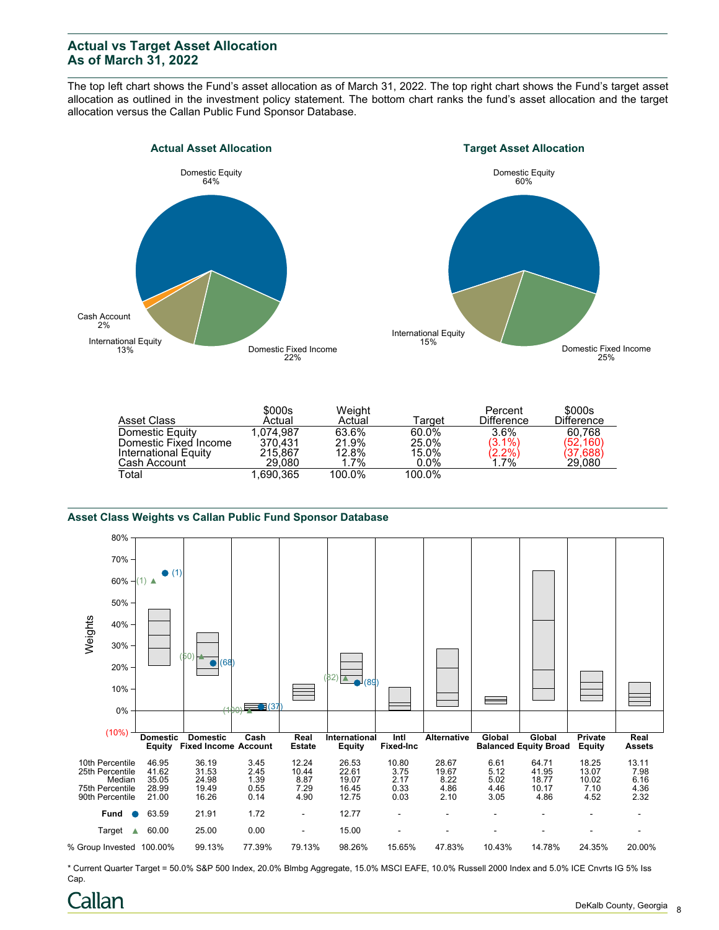## **Actual vs Target Asset Allocation As of March 31, 2022**

The top left chart shows the Fund's asset allocation as of March 31, 2022. The top right chart shows the Fund's target asset allocation as outlined in the investment policy statement. The bottom chart ranks the fund's asset allocation and the target allocation versus the Callan Public Fund Sponsor Database.





|                       | \$000s     | Weight  |         | Percent           | \$000s            |
|-----------------------|------------|---------|---------|-------------------|-------------------|
| Asset Class           | Actual     | Actual  | ⊺arqet  | <b>Difference</b> | <b>Difference</b> |
| Domestic Equity       | 1.074.987  | 63.6%   | 60.0%   | 3.6%              | 60.768            |
| Domestic Fixed Income | 370.431    | 21.9%   | 25.0%   | $(3.1\%)$         | (52, 160)         |
| International Equity  | 215.867    | 12.8%   | 15.0%   | (2.2%)<br>1.7%    | (37,688)          |
| Cash Account          | 29.080     | $1.7\%$ | $0.0\%$ |                   | 29.080            |
| Total                 | .690.365 ا | 100.0%  | 100.0%  |                   |                   |

#### **Asset Class Weights vs Callan Public Fund Sponsor Database**



\* Current Quarter Target = 50.0% S&P 500 Index, 20.0% Blmbg Aggregate, 15.0% MSCI EAFE, 10.0% Russell 2000 Index and 5.0% ICE Cnvrts IG 5% Iss Cap.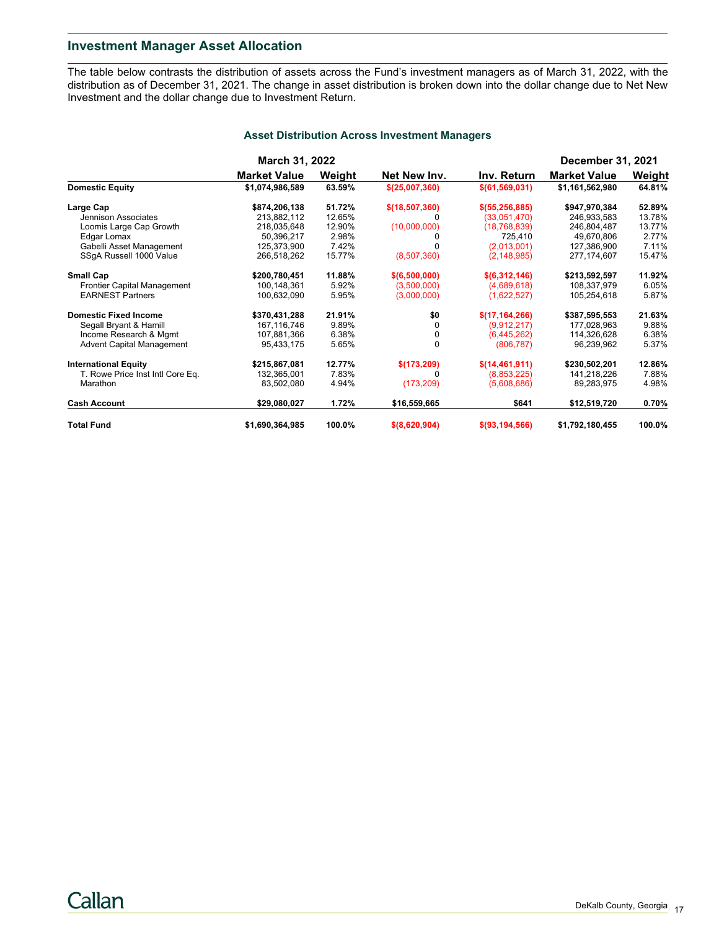## **Investment Manager Asset Allocation**

The table below contrasts the distribution of assets across the Fund's investment managers as of March 31, 2022, with the distribution as of December 31, 2021. The change in asset distribution is broken down into the dollar change due to Net New Investment and the dollar change due to Investment Return.

|                                  | <b>March 31, 2022</b> |        |                |                   | <b>December 31, 2021</b> |        |
|----------------------------------|-----------------------|--------|----------------|-------------------|--------------------------|--------|
|                                  | <b>Market Value</b>   | Weight | Net New Inv.   | Inv. Return       | <b>Market Value</b>      | Weight |
| <b>Domestic Equity</b>           | \$1,074,986,589       | 63.59% | \$(25,007,360) | \$(61, 569, 031)  | \$1,161,562,980          | 64.81% |
| Large Cap                        | \$874,206,138         | 51.72% | \$(18,507,360) | \$ (55, 256, 885) | \$947,970,384            | 52.89% |
| Jennison Associates              | 213,882,112           | 12.65% |                | (33,051,470)      | 246,933,583              | 13.78% |
| Loomis Large Cap Growth          | 218,035,648           | 12.90% | (10,000,000)   | (18, 768, 839)    | 246,804,487              | 13.77% |
| Edgar Lomax                      | 50,396,217            | 2.98%  |                | 725.410           | 49,670,806               | 2.77%  |
| Gabelli Asset Management         | 125,373,900           | 7.42%  | U              | (2,013,001)       | 127,386,900              | 7.11%  |
| SSqA Russell 1000 Value          | 266,518,262           | 15.77% | (8,507,360)    | (2, 148, 985)     | 277,174,607              | 15.47% |
| <b>Small Cap</b>                 | \$200,780,451         | 11.88% | \$(6,500,000)  | \$ (6,312,146)    | \$213,592,597            | 11.92% |
| Frontier Capital Management      | 100,148,361           | 5.92%  | (3,500,000)    | (4,689,618)       | 108,337,979              | 6.05%  |
| <b>EARNEST Partners</b>          | 100,632,090           | 5.95%  | (3,000,000)    | (1,622,527)       | 105,254,618              | 5.87%  |
| <b>Domestic Fixed Income</b>     | \$370,431,288         | 21.91% | \$0            | \$(17,164,266)    | \$387,595,553            | 21.63% |
| Segall Bryant & Hamill           | 167,116,746           | 9.89%  | $\Omega$       | (9,912,217)       | 177,028,963              | 9.88%  |
| Income Research & Mgmt           | 107,881,366           | 6.38%  | 0              | (6,445,262)       | 114,326,628              | 6.38%  |
| <b>Advent Capital Management</b> | 95,433,175            | 5.65%  | 0              | (806, 787)        | 96,239,962               | 5.37%  |
| <b>International Equity</b>      | \$215,867,081         | 12.77% | \$(173,209)    | \$(14, 461, 911)  | \$230,502,201            | 12.86% |
| T. Rowe Price Inst Intl Core Eq. | 132,365,001           | 7.83%  |                | (8,853,225)       | 141,218,226              | 7.88%  |
| Marathon                         | 83,502,080            | 4.94%  | (173, 209)     | (5,608,686)       | 89,283,975               | 4.98%  |
| <b>Cash Account</b>              | \$29,080,027          | 1.72%  | \$16,559,665   | \$641             | \$12,519,720             | 0.70%  |
| <b>Total Fund</b>                | \$1,690,364,985       | 100.0% | \$ (8,620,904) | \$ (93, 194, 566) | \$1,792,180,455          | 100.0% |

### **Asset Distribution Across Investment Managers**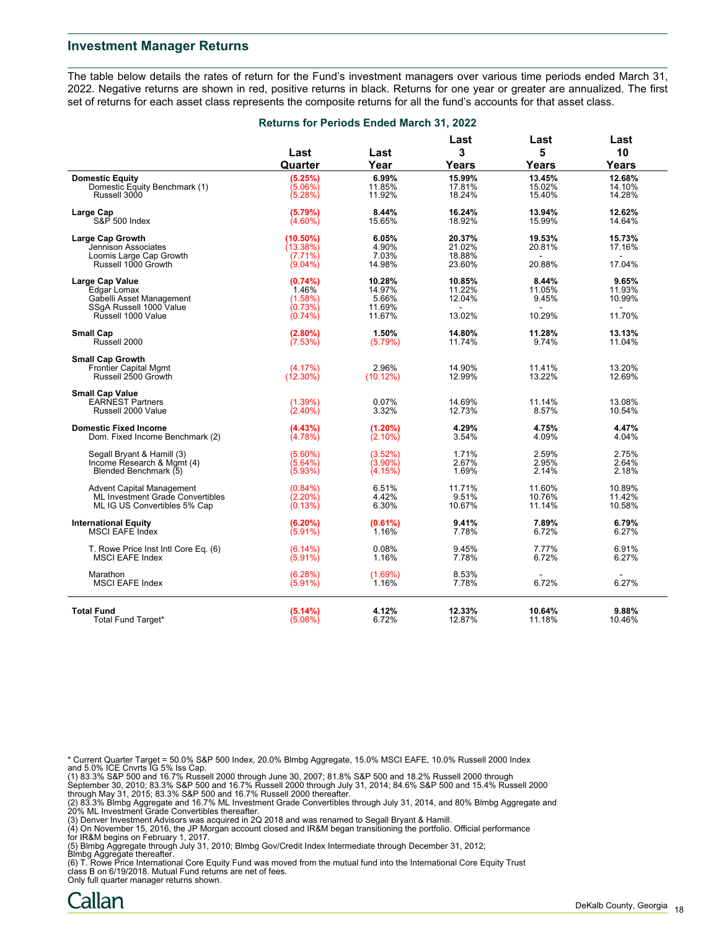### **Investment Manager Returns**

The table below details the rates of return for the Fund's investment managers over various time periods ended March 31, 2022. Negative returns are shown in red, positive returns in black. Returns for one year or greater are annualized. The first set of returns for each asset class represents the composite returns for all the fund's accounts for that asset class.

|  | <b>Returns for Periods Ended March 31, 2022</b> |
|--|-------------------------------------------------|
|--|-------------------------------------------------|

|                                      |                    |             | Last   | Last         | Last            |
|--------------------------------------|--------------------|-------------|--------|--------------|-----------------|
|                                      | Last               | Last        | 3      | 5            | 10              |
|                                      | Quarter            | Year        | Years  | <b>Years</b> | Years           |
| <b>Domestic Equity</b>               | (5.25%)            | 6.99%       | 15.99% | 13.45%       | 12.68%          |
| Domestic Equity Benchmark (1)        | (5.06%)            | 11.85%      | 17.81% | 15.02%       | 14.10%          |
| Russell 3000                         | (5.28%)            | 11.92%      | 18.24% | 15.40%       | 14.28%          |
| Large Cap                            | (5.79%)            | 8.44%       | 16.24% | 13.94%       | 12.62%          |
| S&P 500 Index                        | $(4.60\%)$         | 15.65%      | 18.92% | 15.99%       | 14.64%          |
| <b>Large Cap Growth</b>              | $(10.50\%)$        | 6.05%       | 20.37% | 19.53%       | 15.73%          |
| Jennison Associates                  | (13.38%)           | 4.90%       | 21.02% | 20.81%       | 17.16%          |
| Loomis Large Cap Growth              | $(7.71\%)$         | 7.03%       | 18.88% |              |                 |
| Russell 1000 Growth                  | $(9.04\%)$         | 14.98%      | 23.60% | 20.88%       | 17.04%          |
| <b>Large Cap Value</b>               | (0.74%)            | 10.28%      | 10.85% | 8.44%        | 9.65%           |
| Edgar Lomax                          | 1.46%              | 14.97%      | 11.22% | 11.05%       | 11.93%          |
| Gabelli Asset Management             | (1.58%)            | 5.66%       | 12.04% | 9.45%        | 10.99%          |
| SSgA Russell 1000 Value              | (0.73%)            | 11.69%      |        |              | $\blacksquare$  |
| Russell 1000 Value                   | $(0.74\%)$         | 11.67%      | 13.02% | 10.29%       | 11.70%          |
| <b>Small Cap</b>                     | $(2.80\%)$         | 1.50%       | 14.80% | 11.28%       | 13.13%          |
| Russell 2000                         | (7.53%)            | (5.79%)     | 11.74% | 9.74%        | 11.04%          |
| <b>Small Cap Growth</b>              |                    |             |        |              |                 |
| <b>Frontier Capital Mgmt</b>         | (4.17%)            | 2.96%       | 14.90% | 11.41%       | 13.20%          |
| Russell 2500 Growth                  | $(12.30\%)$        | $(10.12\%)$ | 12.99% | 13.22%       | 12.69%          |
| <b>Small Cap Value</b>               |                    |             |        |              |                 |
| <b>EARNEST Partners</b>              | (1.39%)            | 0.07%       | 14.69% | 11.14%       | 13.08%          |
| Russell 2000 Value                   | $(2.40\%)$         | 3.32%       | 12.73% | 8.57%        | 10.54%          |
| <b>Domestic Fixed Income</b>         | (4.43%)            | (1.20%)     | 4.29%  | 4.75%        | 4.47%           |
| Dom. Fixed Income Benchmark (2)      | (4.78%)            | $(2.10\%)$  | 3.54%  | 4.09%        | 4.04%           |
| Segall Bryant & Hamill (3)           | $(5.60\%)$         | (3.52%)     | 1.71%  | 2.59%        | 2.75%           |
| Income Research & Mgmt (4)           | (5.64%)            | $(3.90\%)$  | 2.67%  | 2.95%        | 2.64%           |
| Blended Benchmark (5)                | (5.93%)            | (4.15%)     | 1.69%  | 2.14%        | 2.18%           |
| <b>Advent Capital Management</b>     | $(0.84\%)$         | 6.51%       | 11.71% | 11.60%       | 10.89%          |
| ML Investment Grade Convertibles     | $(2.20\%)$         | 4.42%       | 9.51%  | 10.76%       | 11.42%          |
| ML IG US Convertibles 5% Cap         | (0.13%)            | 6.30%       | 10.67% | 11.14%       | 10.58%          |
| <b>International Equity</b>          | $(6.20\%)$         | (0.61%)     | 9.41%  | 7.89%        | 6.79%           |
| MSCI EAFE Index                      | (5.91%)            | 1.16%       | 7.78%  | 6.72%        | 6.27%           |
| T. Rowe Price Inst Intl Core Eq. (6) | $(6.14\%)$         | 0.08%       | 9.45%  | 7.77%        | 6.91%           |
| <b>MSCI EAFE Index</b>               | $(5.91\%)$         | 1.16%       | 7.78%  | 6.72%        | 6.27%           |
| Marathon                             | (6.28%)            | (1.69%)     | 8.53%  |              |                 |
| <b>MSCI EAFE Index</b>               | $(5.91\%)$         | 1.16%       | 7.78%  | 6.72%        | 6.27%           |
| <b>Total Fund</b>                    |                    | 4.12%       | 12.33% | 10.64%       |                 |
| <b>Total Fund Target*</b>            | (5.14%)<br>(5.08%) | 6.72%       | 12.87% | 11.18%       | 9.88%<br>10.46% |
|                                      |                    |             |        |              |                 |

\* Current Quarter Target = 50.0% S&P 500 Index, 20.0% Blmbg Aggregate, 15.0% MSCI EAFE, 10.0% Russell 2000 Index

and 5.0% ICE Cnvrts IG 5% Iss Cap.<br>(1) 83.3% S&P 500 and 16.7% Russell 2000 through June 30, 2007; 81.8% S&P 500 and 18.2% Russell 2000 through<br>September 30, 2010; 83.3% S&P 500 and 16.7% Russell 2000 through July 31, 2014

(2) 83.3% Blmbg Aggregate and 16.7% ML Investment Grade Convertibles through July 31, 2014, and 80% Blmbg Aggregate and<br>20% ML Investment Grade Convertibles thereafter.<br>(3) Denver Investment Advisors was acquired in 2Q 201

for IR&M begins on February 1, 2017.

(5) Blmbg Aggregate through July 31, 2010; Blmbg Gov/Credit Index Intermediate through December 31, 2012;

Blmbg Aggregate thereafter. (6) T. Rowe Price International Core Equity Fund was moved from the mutual fund into the International Core Equity Trust class B on 6/19/2018. Mutual Fund returns are net of fees.

Only full quarter manager returns shown.

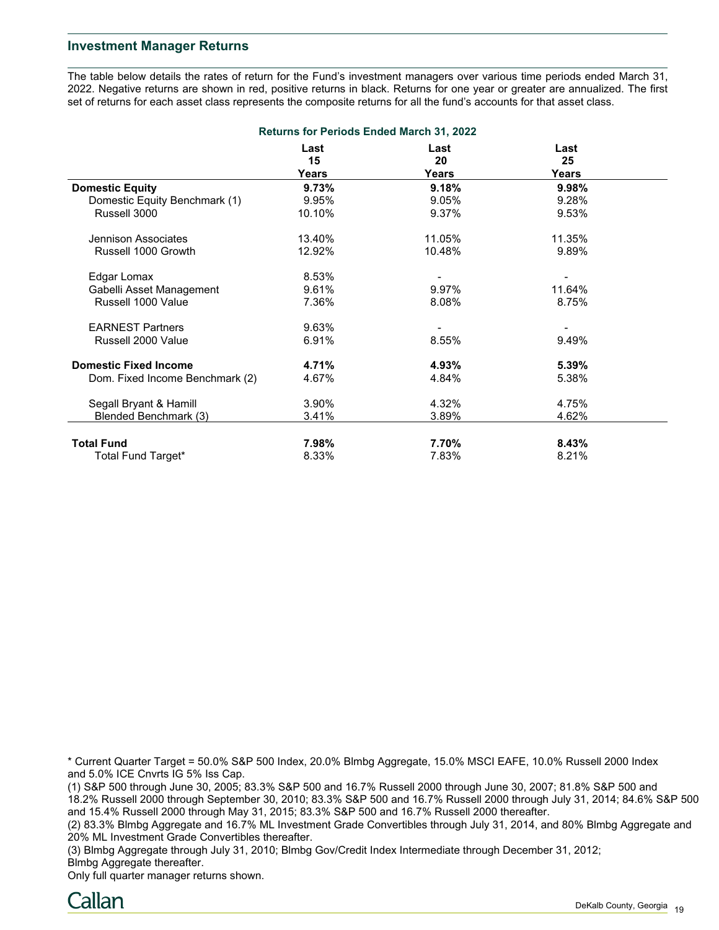## **Investment Manager Returns**

The table below details the rates of return for the Fund's investment managers over various time periods ended March 31, 2022. Negative returns are shown in red, positive returns in black. Returns for one year or greater are annualized. The first set of returns for each asset class represents the composite returns for all the fund's accounts for that asset class.

| <b>Returns for Periods Ended March 31, 2022</b> |            |            |              |  |  |  |
|-------------------------------------------------|------------|------------|--------------|--|--|--|
|                                                 | Last<br>15 | Last<br>20 | Last<br>25   |  |  |  |
|                                                 | Years      | Years      | <b>Years</b> |  |  |  |
| <b>Domestic Equity</b>                          | 9.73%      | 9.18%      | 9.98%        |  |  |  |
| Domestic Equity Benchmark (1)                   | 9.95%      | 9.05%      | 9.28%        |  |  |  |
| Russell 3000                                    | 10.10%     | 9.37%      | 9.53%        |  |  |  |
| Jennison Associates                             | 13.40%     | 11.05%     | 11.35%       |  |  |  |
| Russell 1000 Growth                             | 12.92%     | 10.48%     | 9.89%        |  |  |  |
| Edgar Lomax                                     | 8.53%      |            |              |  |  |  |
| Gabelli Asset Management                        | 9.61%      | 9.97%      | 11.64%       |  |  |  |
| Russell 1000 Value                              | 7.36%      | 8.08%      | 8.75%        |  |  |  |
| <b>EARNEST Partners</b>                         | 9.63%      |            |              |  |  |  |
| Russell 2000 Value                              | 6.91%      | 8.55%      | 9.49%        |  |  |  |
| <b>Domestic Fixed Income</b>                    | 4.71%      | 4.93%      | 5.39%        |  |  |  |
| Dom. Fixed Income Benchmark (2)                 | 4.67%      | 4.84%      | 5.38%        |  |  |  |
| Segall Bryant & Hamill                          | 3.90%      | 4.32%      | 4.75%        |  |  |  |
| Blended Benchmark (3)                           | 3.41%      | 3.89%      | 4.62%        |  |  |  |
| <b>Total Fund</b>                               | 7.98%      | 7.70%      | 8.43%        |  |  |  |
| Total Fund Target*                              | 8.33%      | 7.83%      | 8.21%        |  |  |  |

\* Current Quarter Target = 50.0% S&P 500 Index, 20.0% Blmbg Aggregate, 15.0% MSCI EAFE, 10.0% Russell 2000 Index and 5.0% ICE Cnvrts IG 5% Iss Cap.

(1) S&P 500 through June 30, 2005; 83.3% S&P 500 and 16.7% Russell 2000 through June 30, 2007; 81.8% S&P 500 and 18.2% Russell 2000 through September 30, 2010; 83.3% S&P 500 and 16.7% Russell 2000 through July 31, 2014; 84.6% S&P 500 and 15.4% Russell 2000 through May 31, 2015; 83.3% S&P 500 and 16.7% Russell 2000 thereafter.

(2) 83.3% Blmbg Aggregate and 16.7% ML Investment Grade Convertibles through July 31, 2014, and 80% Blmbg Aggregate and 20% ML Investment Grade Convertibles thereafter.

(3) Blmbg Aggregate through July 31, 2010; Blmbg Gov/Credit Index Intermediate through December 31, 2012; Blmbg Aggregate thereafter.

Only full quarter manager returns shown.